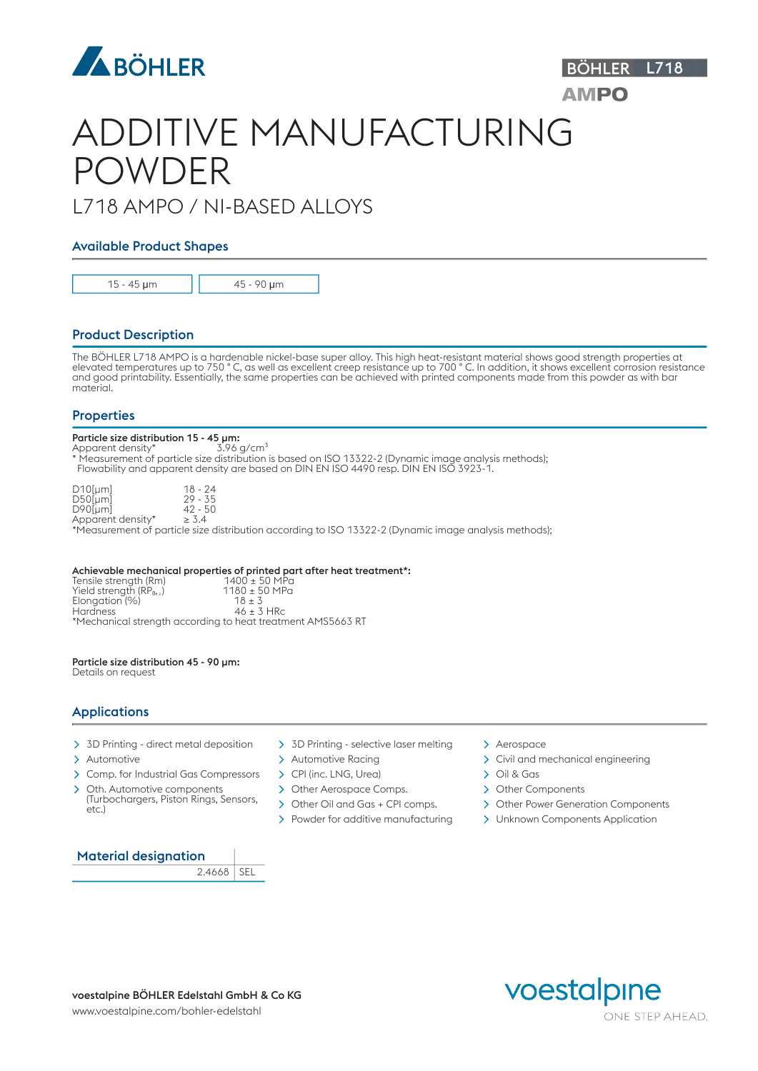

# ADDITIVE MANUFACTURING POWDER

## L718 AMPO / NI-BASED ALLOYS

### Available Product Shapes



15 - 45 μm 45 - 90 μm

### Product Description

The BÖHLER L718 AMPO is a hardenable nickel-base super alloy. This high heat-resistant material shows good strength properties at elevated temperatures up to 750 ° C, as well as excellent creep resistance up to 700 ° C. In addition, it shows excellent corrosion resistance and good printability. Essentially, the same properties can be achieved with printed components made from this powder as with bar material.

### **Properties**

### Particle size distribution 15 - 45 µm:

Apparent density\*  $3.96$  g/cm<sup>3</sup> \* Measurement of particle size distribution is based on ISO 13322-2 (Dynamic image analysis methods); Flowability and apparent density are based on DIN EN ISO 4490 resp. DIN EN ISO 3923-1.

| $D10$ [µm]        | $18 - 24$  |
|-------------------|------------|
| $D50$ [µm]        | $29 - 35$  |
| $D90$ [µm]        | $42 - 50$  |
| Apparent density* | $\geq 3.4$ |

\*Measurement of particle size distribution according to ISO 13322-2 (Dynamic image analysis methods);

Achievable mechanical properties of printed part after heat treatment\*:<br>Tensile strength (Rm)  $1400 \pm 50$  MPa<br>Yield strength (RP<sub>0</sub>,)  $1180 \pm 50$  MPa Tensile strength (Rm) Yield strength (RP₀,₂) 1180 ± 50 MPa Elongation (%)  $\frac{18 \pm 3}{46 \pm 3 \text{ HRC}}$  $\blacksquare$  Hardness  $\blacksquare$   $\blacksquare$   $\blacktriangle$   $\blacksquare$   $\blacktriangleright$   $\blacksquare$   $\blacktriangleright$   $\blacksquare$   $\blacktriangleright$   $\blacksquare$   $\blacksquare$   $\blacktriangleright$   $\blacksquare$   $\blacksquare$   $\blacksquare$   $\blacksquare$   $\blacksquare$   $\blacksquare$   $\blacksquare$   $\blacksquare$   $\blacksquare$   $\blacksquare$   $\blacksquare$   $\blacksquare$   $\blacksquare$   $\blacksquare$   $\blacksquare$   $\blacksquare$   $\blacksquare$ \*Mechanical strength according to heat treatment AMS5663 RT

### Particle size distribution 45 - 90 µm:

Details on request

### Applications

- 
- 
- > Comp. for Industrial Gas Compressors > CPI (inc. LNG, Urea) > Oil & Gas
- Oth. Automotive components (Turbochargers, Piston Rings, Sensors, etc.)
- > 3D Printing direct metal deposition > 3D Printing selective laser melting > Aerospace
	-
	-
	- > Other Aerospace Comps. > Other Components
	-
	-
- 
- > Automotive > Automotive > Automotive Racing > Civil and mechanical engineering
	-
	-
	- > Other Power Generation Components

BÖHLER L718

**AMPO** 

> Powder for additive manufacturing > Unknown Components Application



2.4668 SEL

voestalpine BÖHLER Edelstahl GmbH & Co KG<br>
VOESTAIPINE ONE STEP AHEAD.